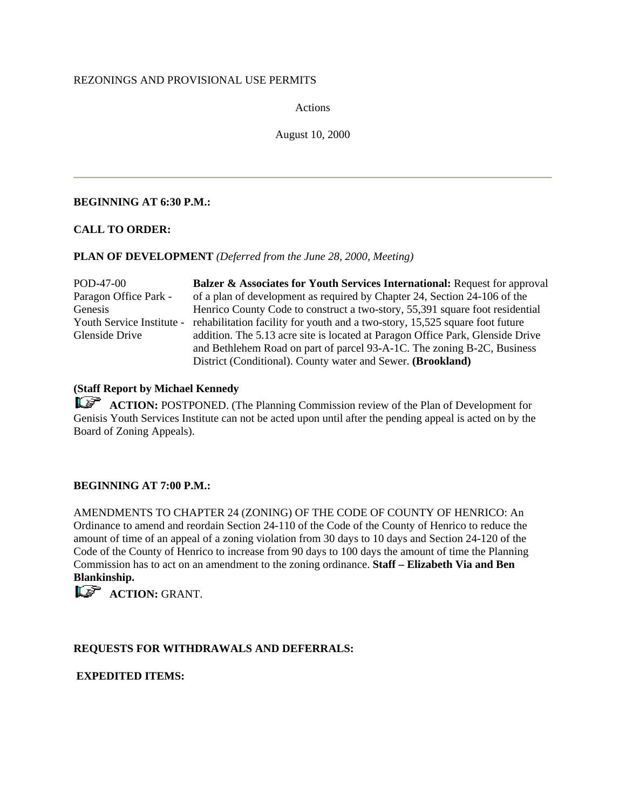# REZONINGS AND PROVISIONAL USE PERMITS

Actions

August 10, 2000

# **BEGINNING AT 6:30 P.M.:**

### **CALL TO ORDER:**

### **PLAN OF DEVELOPMENT** *(Deferred from the June 28, 2000, Meeting)*

POD-47-00 Paragon Office Park - Genesis Youth Service Institute - rehabilitation facility for youth and a two-story, 15,525 square foot future Glenside Drive **Balzer & Associates for Youth Services International:** Request for approval of a plan of development as required by Chapter 24, Section 24-106 of the Henrico County Code to construct a two-story, 55,391 square foot residential addition. The 5.13 acre site is located at Paragon Office Park, Glenside Drive and Bethlehem Road on part of parcel 93-A-1C. The zoning B-2C, Business District (Conditional). County water and Sewer. **(Brookland)**

# **(Staff Report by Michael Kennedy**

**ACTION:** POSTPONED. (The Planning Commission review of the Plan of Development for Genisis Youth Services Institute can not be acted upon until after the pending appeal is acted on by the Board of Zoning Appeals).

# **BEGINNING AT 7:00 P.M.:**

AMENDMENTS TO CHAPTER 24 (ZONING) OF THE CODE OF COUNTY OF HENRICO: An Ordinance to amend and reordain Section 24-110 of the Code of the County of Henrico to reduce the amount of time of an appeal of a zoning violation from 30 days to 10 days and Section 24-120 of the Code of the County of Henrico to increase from 90 days to 100 days the amount of time the Planning Commission has to act on an amendment to the zoning ordinance. **Staff – Elizabeth Via and Ben Blankinship.**

**ACTION: GRANT.** 

# **REQUESTS FOR WITHDRAWALS AND DEFERRALS:**

# **EXPEDITED ITEMS:**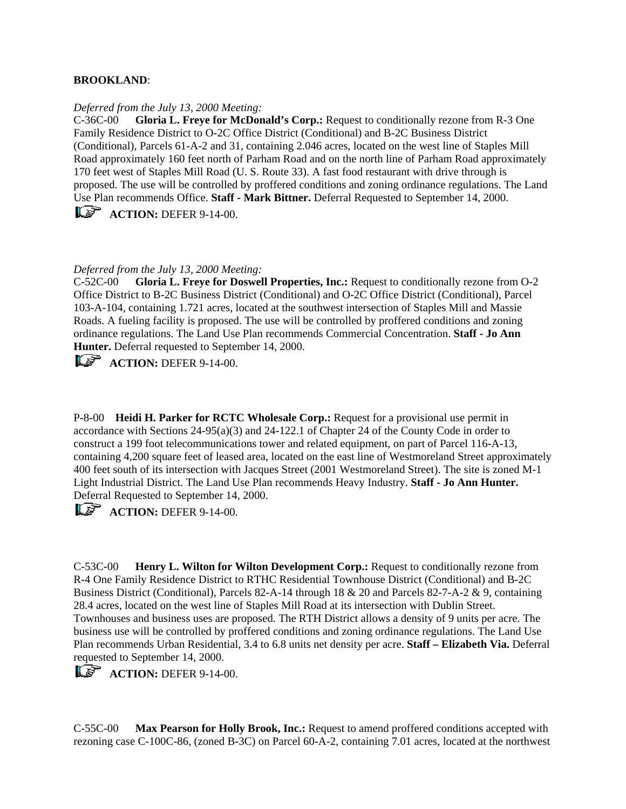### **BROOKLAND**:

#### *Deferred from the July 13, 2000 Meeting:*

C-36C-00 **Gloria L. Freye for McDonald's Corp.:** Request to conditionally rezone from R-3 One Family Residence District to O-2C Office District (Conditional) and B-2C Business District (Conditional), Parcels 61-A-2 and 31, containing 2.046 acres, located on the west line of Staples Mill Road approximately 160 feet north of Parham Road and on the north line of Parham Road approximately 170 feet west of Staples Mill Road (U. S. Route 33). A fast food restaurant with drive through is proposed. The use will be controlled by proffered conditions and zoning ordinance regulations. The Land Use Plan recommends Office. **Staff - Mark Bittner.** Deferral Requested to September 14, 2000. **ACTION:** DEFER 9-14-00.

#### *Deferred from the July 13, 2000 Meeting:*

C-52C-00 **Gloria L. Freye for Doswell Properties, Inc.:** Request to conditionally rezone from O-2 Office District to B-2C Business District (Conditional) and O-2C Office District (Conditional), Parcel 103-A-104, containing 1.721 acres, located at the southwest intersection of Staples Mill and Massie Roads. A fueling facility is proposed. The use will be controlled by proffered conditions and zoning ordinance regulations. The Land Use Plan recommends Commercial Concentration. **Staff - Jo Ann Hunter.** Deferral requested to September 14, 2000.

**ACTION:** DEFER 9-14-00.

P-8-00 **Heidi H. Parker for RCTC Wholesale Corp.:** Request for a provisional use permit in accordance with Sections 24-95(a)(3) and 24-122.1 of Chapter 24 of the County Code in order to construct a 199 foot telecommunications tower and related equipment, on part of Parcel 116-A-13, containing 4,200 square feet of leased area, located on the east line of Westmoreland Street approximately 400 feet south of its intersection with Jacques Street (2001 Westmoreland Street). The site is zoned M-1 Light Industrial District. The Land Use Plan recommends Heavy Industry. **Staff - Jo Ann Hunter.** Deferral Requested to September 14, 2000.

**ACTION:** DEFER 9-14-00.

C-53C-00 **Henry L. Wilton for Wilton Development Corp.:** Request to conditionally rezone from R-4 One Family Residence District to RTHC Residential Townhouse District (Conditional) and B-2C Business District (Conditional), Parcels 82-A-14 through 18 & 20 and Parcels 82-7-A-2 & 9, containing 28.4 acres, located on the west line of Staples Mill Road at its intersection with Dublin Street. Townhouses and business uses are proposed. The RTH District allows a density of 9 units per acre. The business use will be controlled by proffered conditions and zoning ordinance regulations. The Land Use Plan recommends Urban Residential, 3.4 to 6.8 units net density per acre. **Staff – Elizabeth Via.** Deferral requested to September 14, 2000.

**ACTION:** DEFER 9-14-00.

C-55C-00 **Max Pearson for Holly Brook, Inc.:** Request to amend proffered conditions accepted with rezoning case C-100C-86, (zoned B-3C) on Parcel 60-A-2, containing 7.01 acres, located at the northwest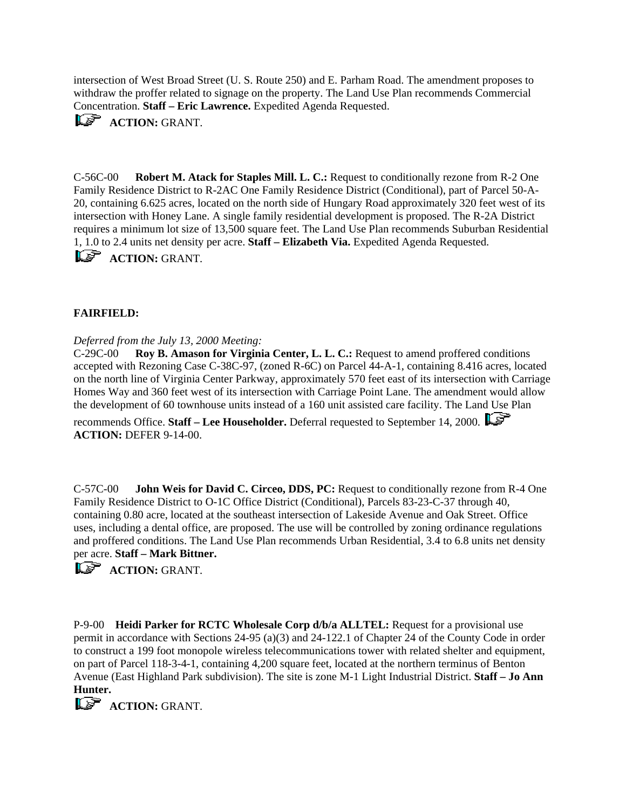intersection of West Broad Street (U. S. Route 250) and E. Parham Road. The amendment proposes to withdraw the proffer related to signage on the property. The Land Use Plan recommends Commercial Concentration. **Staff – Eric Lawrence.** Expedited Agenda Requested.



**ACTION: GRANT.** 

C-56C-00 **Robert M. Atack for Staples Mill. L. C.:** Request to conditionally rezone from R-2 One Family Residence District to R-2AC One Family Residence District (Conditional), part of Parcel 50-A-20, containing 6.625 acres, located on the north side of Hungary Road approximately 320 feet west of its intersection with Honey Lane. A single family residential development is proposed. The R-2A District requires a minimum lot size of 13,500 square feet. The Land Use Plan recommends Suburban Residential 1, 1.0 to 2.4 units net density per acre. **Staff – Elizabeth Via.** Expedited Agenda Requested. **ACTION: GRANT.** 

# **FAIRFIELD:**

# *Deferred from the July 13, 2000 Meeting:*

C-29C-00 **Roy B. Amason for Virginia Center, L. L. C.:** Request to amend proffered conditions accepted with Rezoning Case C-38C-97, (zoned R-6C) on Parcel 44-A-1, containing 8.416 acres, located on the north line of Virginia Center Parkway, approximately 570 feet east of its intersection with Carriage Homes Way and 360 feet west of its intersection with Carriage Point Lane. The amendment would allow the development of 60 townhouse units instead of a 160 unit assisted care facility. The Land Use Plan

recommends Office. **Staff – Lee Householder.** Deferral requested to September 14, 2000. **ACTION:** DEFER 9-14-00.

C-57C-00 **John Weis for David C. Circeo, DDS, PC:** Request to conditionally rezone from R-4 One Family Residence District to O-1C Office District (Conditional), Parcels 83-23-C-37 through 40, containing 0.80 acre, located at the southeast intersection of Lakeside Avenue and Oak Street. Office uses, including a dental office, are proposed. The use will be controlled by zoning ordinance regulations and proffered conditions. The Land Use Plan recommends Urban Residential, 3.4 to 6.8 units net density per acre. **Staff – Mark Bittner.**

**ACTION: GRANT.** 

P-9-00 **Heidi Parker for RCTC Wholesale Corp d/b/a ALLTEL:** Request for a provisional use permit in accordance with Sections 24-95 (a)(3) and 24-122.1 of Chapter 24 of the County Code in order to construct a 199 foot monopole wireless telecommunications tower with related shelter and equipment, on part of Parcel 118-3-4-1, containing 4,200 square feet, located at the northern terminus of Benton Avenue (East Highland Park subdivision). The site is zone M-1 Light Industrial District. **Staff – Jo Ann Hunter.**

**ACTION: GRANT.**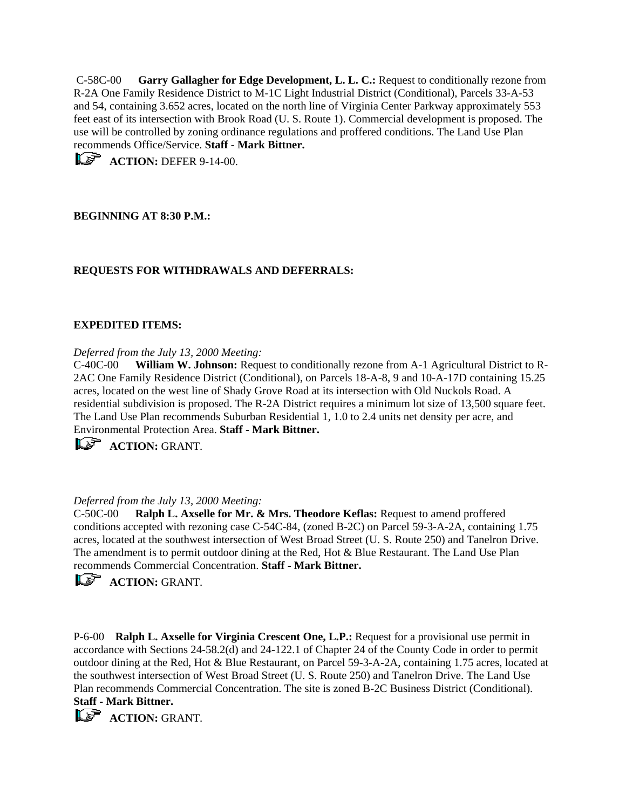C-58C-00 **Garry Gallagher for Edge Development, L. L. C.:** Request to conditionally rezone from R-2A One Family Residence District to M-1C Light Industrial District (Conditional), Parcels 33-A-53 and 54, containing 3.652 acres, located on the north line of Virginia Center Parkway approximately 553 feet east of its intersection with Brook Road (U. S. Route 1). Commercial development is proposed. The use will be controlled by zoning ordinance regulations and proffered conditions. The Land Use Plan recommends Office/Service. **Staff - Mark Bittner.**

**ACTION:** DEFER 9-14-00.

# **BEGINNING AT 8:30 P.M.:**

# **REQUESTS FOR WITHDRAWALS AND DEFERRALS:**

### **EXPEDITED ITEMS:**

*Deferred from the July 13, 2000 Meeting:*

C-40C-00 **William W. Johnson:** Request to conditionally rezone from A-1 Agricultural District to R-2AC One Family Residence District (Conditional), on Parcels 18-A-8, 9 and 10-A-17D containing 15.25 acres, located on the west line of Shady Grove Road at its intersection with Old Nuckols Road. A residential subdivision is proposed. The R-2A District requires a minimum lot size of 13,500 square feet. The Land Use Plan recommends Suburban Residential 1, 1.0 to 2.4 units net density per acre, and Environmental Protection Area. **Staff - Mark Bittner.**

**ACTION: GRANT.** 

#### *Deferred from the July 13, 2000 Meeting:*

C-50C-00 **Ralph L. Axselle for Mr. & Mrs. Theodore Keflas:** Request to amend proffered conditions accepted with rezoning case C-54C-84, (zoned B-2C) on Parcel 59-3-A-2A, containing 1.75 acres, located at the southwest intersection of West Broad Street (U. S. Route 250) and Tanelron Drive. The amendment is to permit outdoor dining at the Red, Hot & Blue Restaurant. The Land Use Plan recommends Commercial Concentration. **Staff - Mark Bittner.**

**ACTION: GRANT.** 

P-6-00 **Ralph L. Axselle for Virginia Crescent One, L.P.:** Request for a provisional use permit in accordance with Sections 24-58.2(d) and 24-122.1 of Chapter 24 of the County Code in order to permit outdoor dining at the Red, Hot & Blue Restaurant, on Parcel 59-3-A-2A, containing 1.75 acres, located at the southwest intersection of West Broad Street (U. S. Route 250) and Tanelron Drive. The Land Use Plan recommends Commercial Concentration. The site is zoned B-2C Business District (Conditional). **Staff - Mark Bittner.**

**ACTION: GRANT.**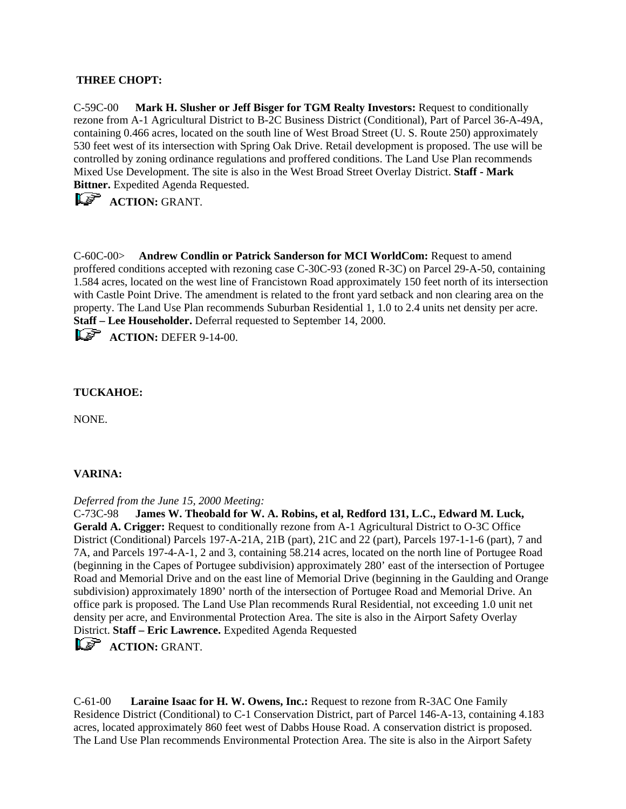# **THREE CHOPT:**

C-59C-00 **Mark H. Slusher or Jeff Bisger for TGM Realty Investors:** Request to conditionally rezone from A-1 Agricultural District to B-2C Business District (Conditional), Part of Parcel 36-A-49A, containing 0.466 acres, located on the south line of West Broad Street (U. S. Route 250) approximately 530 feet west of its intersection with Spring Oak Drive. Retail development is proposed. The use will be controlled by zoning ordinance regulations and proffered conditions. The Land Use Plan recommends Mixed Use Development. The site is also in the West Broad Street Overlay District. **Staff - Mark Bittner.** Expedited Agenda Requested.

**ACTION: GRANT.** 

C-60C-00> **Andrew Condlin or Patrick Sanderson for MCI WorldCom:** Request to amend proffered conditions accepted with rezoning case C-30C-93 (zoned R-3C) on Parcel 29-A-50, containing 1.584 acres, located on the west line of Francistown Road approximately 150 feet north of its intersection with Castle Point Drive. The amendment is related to the front yard setback and non clearing area on the property. The Land Use Plan recommends Suburban Residential 1, 1.0 to 2.4 units net density per acre. **Staff – Lee Householder.** Deferral requested to September 14, 2000.

**ACTION:** DEFER 9-14-00.

# **TUCKAHOE:**

NONE.

# **VARINA:**

*Deferred from the June 15, 2000 Meeting:*

C-73C-98 **James W. Theobald for W. A. Robins, et al, Redford 131, L.C., Edward M. Luck, Gerald A. Crigger:** Request to conditionally rezone from A-1 Agricultural District to O-3C Office District (Conditional) Parcels 197-A-21A, 21B (part), 21C and 22 (part), Parcels 197-1-1-6 (part), 7 and 7A, and Parcels 197-4-A-1, 2 and 3, containing 58.214 acres, located on the north line of Portugee Road (beginning in the Capes of Portugee subdivision) approximately 280' east of the intersection of Portugee Road and Memorial Drive and on the east line of Memorial Drive (beginning in the Gaulding and Orange subdivision) approximately 1890' north of the intersection of Portugee Road and Memorial Drive. An office park is proposed. The Land Use Plan recommends Rural Residential, not exceeding 1.0 unit net density per acre, and Environmental Protection Area. The site is also in the Airport Safety Overlay District. **Staff – Eric Lawrence.** Expedited Agenda Requested

**ACTION: GRANT.** 

C-61-00 **Laraine Isaac for H. W. Owens, Inc.:** Request to rezone from R-3AC One Family Residence District (Conditional) to C-1 Conservation District, part of Parcel 146-A-13, containing 4.183 acres, located approximately 860 feet west of Dabbs House Road. A conservation district is proposed. The Land Use Plan recommends Environmental Protection Area. The site is also in the Airport Safety